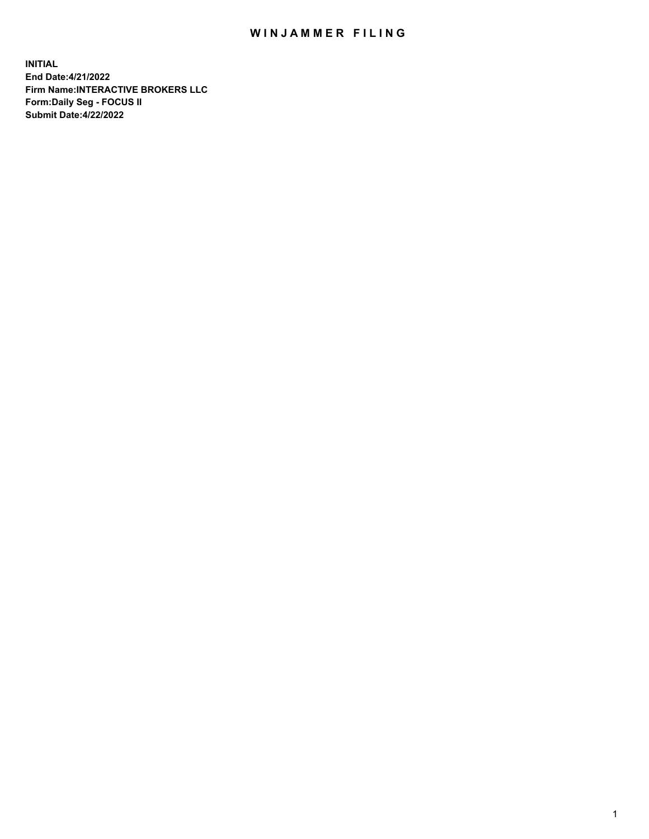## WIN JAMMER FILING

**INITIAL End Date:4/21/2022 Firm Name:INTERACTIVE BROKERS LLC Form:Daily Seg - FOCUS II Submit Date:4/22/2022**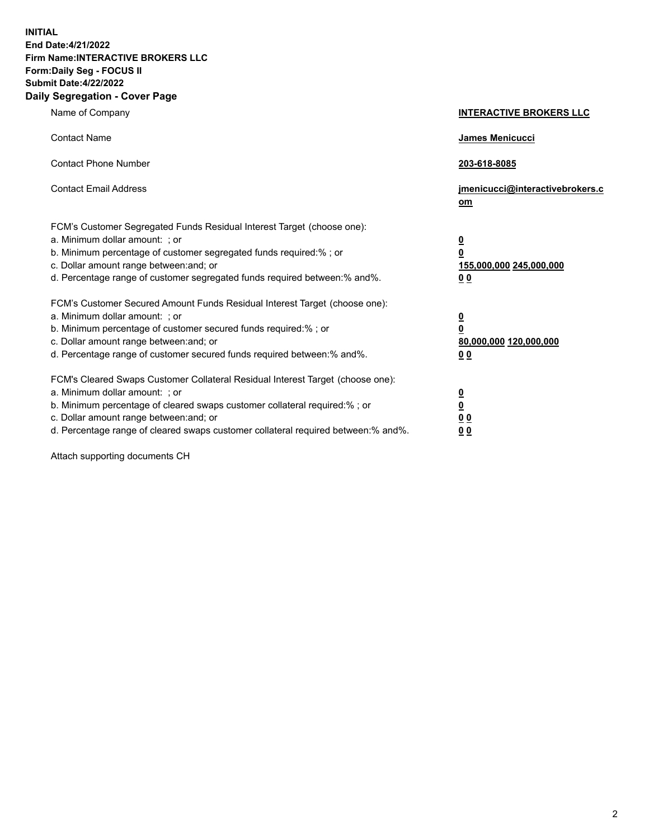**INITIAL End Date:4/21/2022 Firm Name:INTERACTIVE BROKERS LLC Form:Daily Seg - FOCUS II Submit Date:4/22/2022 Daily Segregation - Cover Page**

| Name of Company                                                                                                                                                                                                                                                                                                               | <b>INTERACTIVE BROKERS LLC</b>                                                                  |  |
|-------------------------------------------------------------------------------------------------------------------------------------------------------------------------------------------------------------------------------------------------------------------------------------------------------------------------------|-------------------------------------------------------------------------------------------------|--|
| <b>Contact Name</b>                                                                                                                                                                                                                                                                                                           | James Menicucci                                                                                 |  |
| <b>Contact Phone Number</b>                                                                                                                                                                                                                                                                                                   | 203-618-8085                                                                                    |  |
| <b>Contact Email Address</b>                                                                                                                                                                                                                                                                                                  | jmenicucci@interactivebrokers.c<br><u>om</u>                                                    |  |
| FCM's Customer Segregated Funds Residual Interest Target (choose one):<br>a. Minimum dollar amount: ; or<br>b. Minimum percentage of customer segregated funds required:% ; or<br>c. Dollar amount range between: and; or<br>d. Percentage range of customer segregated funds required between:% and%.                        | $\overline{\mathbf{0}}$<br>$\overline{\mathbf{0}}$<br>155,000,000 245,000,000<br>0 <sub>0</sub> |  |
| FCM's Customer Secured Amount Funds Residual Interest Target (choose one):<br>a. Minimum dollar amount: ; or<br>b. Minimum percentage of customer secured funds required:%; or<br>c. Dollar amount range between: and; or<br>d. Percentage range of customer secured funds required between:% and%.                           | $\overline{\mathbf{0}}$<br>$\overline{\mathbf{0}}$<br>80,000,000 120,000,000<br>0 <sub>0</sub>  |  |
| FCM's Cleared Swaps Customer Collateral Residual Interest Target (choose one):<br>a. Minimum dollar amount: ; or<br>b. Minimum percentage of cleared swaps customer collateral required:%; or<br>c. Dollar amount range between: and; or<br>d. Percentage range of cleared swaps customer collateral required between:% and%. | $\overline{\mathbf{0}}$<br>$\overline{\mathbf{0}}$<br>0 <sub>0</sub><br>0 <sub>0</sub>          |  |

Attach supporting documents CH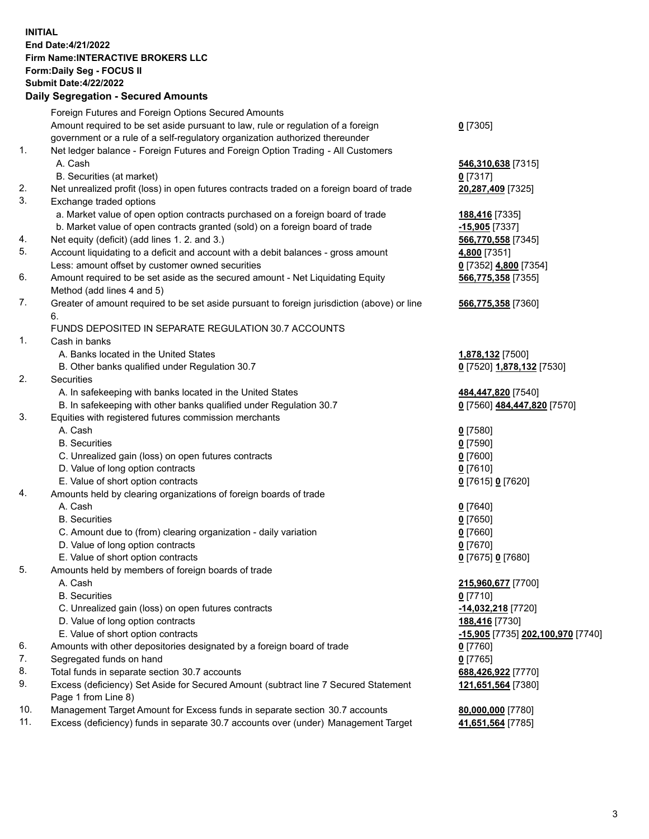**INITIAL End Date:4/21/2022 Firm Name:INTERACTIVE BROKERS LLC Form:Daily Seg - FOCUS II Submit Date:4/22/2022 Daily Segregation - Secured Amounts**

## Foreign Futures and Foreign Options Secured Amounts Amount required to be set aside pursuant to law, rule or regulation of a foreign government or a rule of a self-regulatory organization authorized thereunder **0** [7305] 1. Net ledger balance - Foreign Futures and Foreign Option Trading - All Customers A. Cash **546,310,638** [7315] B. Securities (at market) **0** [7317] 2. Net unrealized profit (loss) in open futures contracts traded on a foreign board of trade **20,287,409** [7325] 3. Exchange traded options a. Market value of open option contracts purchased on a foreign board of trade **188,416** [7335] b. Market value of open contracts granted (sold) on a foreign board of trade **-15,905** [7337] 4. Net equity (deficit) (add lines 1. 2. and 3.) **566,770,558** [7345] 5. Account liquidating to a deficit and account with a debit balances - gross amount **4,800** [7351] Less: amount offset by customer owned securities **0** [7352] **4,800** [7354] 6. Amount required to be set aside as the secured amount - Net Liquidating Equity Method (add lines 4 and 5) **566,775,358** [7355] 7. Greater of amount required to be set aside pursuant to foreign jurisdiction (above) or line 6. **566,775,358** [7360] FUNDS DEPOSITED IN SEPARATE REGULATION 30.7 ACCOUNTS 1. Cash in banks A. Banks located in the United States **1,878,132** [7500] B. Other banks qualified under Regulation 30.7 **0** [7520] **1,878,132** [7530] 2. Securities A. In safekeeping with banks located in the United States **484,447,820** [7540] B. In safekeeping with other banks qualified under Regulation 30.7 **0** [7560] **484,447,820** [7570] 3. Equities with registered futures commission merchants A. Cash **0** [7580] B. Securities **0** [7590] C. Unrealized gain (loss) on open futures contracts **0** [7600] D. Value of long option contracts **0** [7610] E. Value of short option contracts **0** [7615] **0** [7620] 4. Amounts held by clearing organizations of foreign boards of trade A. Cash **0** [7640] B. Securities **0** [7650] C. Amount due to (from) clearing organization - daily variation **0** [7660] D. Value of long option contracts **0** [7670] E. Value of short option contracts **0** [7675] **0** [7680] 5. Amounts held by members of foreign boards of trade A. Cash **215,960,677** [7700] B. Securities **0** [7710] C. Unrealized gain (loss) on open futures contracts **-14,032,218** [7720] D. Value of long option contracts **188,416** [7730] E. Value of short option contracts **-15,905** [7735] **202,100,970** [7740] 6. Amounts with other depositories designated by a foreign board of trade **0** [7760] 7. Segregated funds on hand **0** [7765] 8. Total funds in separate section 30.7 accounts **688,426,922** [7770] 9. Excess (deficiency) Set Aside for Secured Amount (subtract line 7 Secured Statement Page 1 from Line 8) **121,651,564** [7380] 10. Management Target Amount for Excess funds in separate section 30.7 accounts **80,000,000** [7780] 11. Excess (deficiency) funds in separate 30.7 accounts over (under) Management Target **41,651,564** [7785]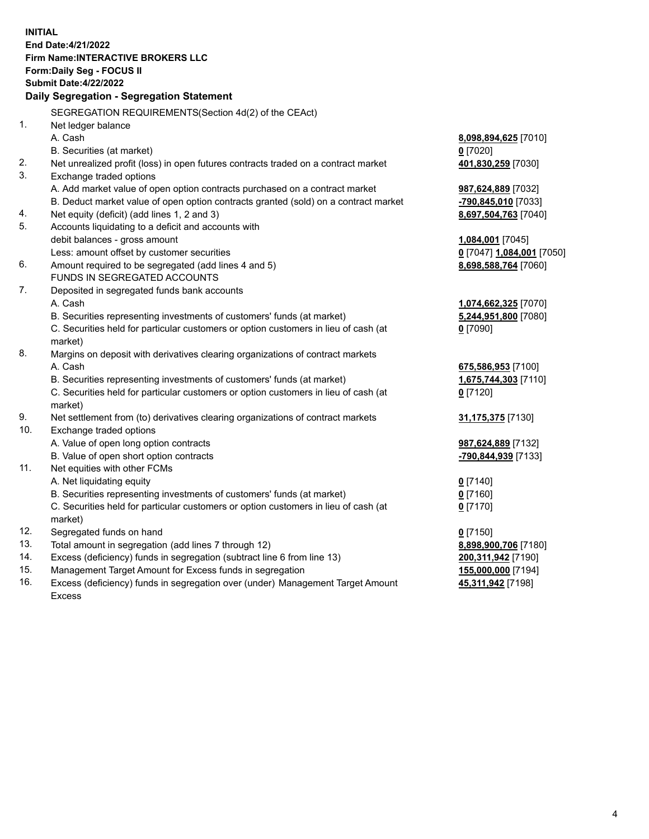**INITIAL End Date:4/21/2022 Firm Name:INTERACTIVE BROKERS LLC Form:Daily Seg - FOCUS II Submit Date:4/22/2022 Daily Segregation - Segregation Statement** SEGREGATION REQUIREMENTS(Section 4d(2) of the CEAct) 1. Net ledger balance A. Cash **8,098,894,625** [7010] B. Securities (at market) **0** [7020] 2. Net unrealized profit (loss) in open futures contracts traded on a contract market **401,830,259** [7030] 3. Exchange traded options A. Add market value of open option contracts purchased on a contract market **987,624,889** [7032] B. Deduct market value of open option contracts granted (sold) on a contract market **-790,845,010** [7033] 4. Net equity (deficit) (add lines 1, 2 and 3) **8,697,504,763** [7040] 5. Accounts liquidating to a deficit and accounts with debit balances - gross amount **1,084,001** [7045] Less: amount offset by customer securities **0** [7047] **1,084,001** [7050] 6. Amount required to be segregated (add lines 4 and 5) **8,698,588,764** [7060] FUNDS IN SEGREGATED ACCOUNTS 7. Deposited in segregated funds bank accounts A. Cash **1,074,662,325** [7070] B. Securities representing investments of customers' funds (at market) **5,244,951,800** [7080] C. Securities held for particular customers or option customers in lieu of cash (at market) **0** [7090] 8. Margins on deposit with derivatives clearing organizations of contract markets A. Cash **675,586,953** [7100] B. Securities representing investments of customers' funds (at market) **1,675,744,303** [7110] C. Securities held for particular customers or option customers in lieu of cash (at market) **0** [7120] 9. Net settlement from (to) derivatives clearing organizations of contract markets **31,175,375** [7130] 10. Exchange traded options A. Value of open long option contracts **987,624,889** [7132] B. Value of open short option contracts **-790,844,939** [7133] 11. Net equities with other FCMs A. Net liquidating equity **0** [7140] B. Securities representing investments of customers' funds (at market) **0** [7160] C. Securities held for particular customers or option customers in lieu of cash (at market) **0** [7170] 12. Segregated funds on hand **0** [7150] 13. Total amount in segregation (add lines 7 through 12) **8,898,900,706** [7180] 14. Excess (deficiency) funds in segregation (subtract line 6 from line 13) **200,311,942** [7190] 15. Management Target Amount for Excess funds in segregation **155,000,000** [7194]

16. Excess (deficiency) funds in segregation over (under) Management Target Amount Excess

**45,311,942** [7198]